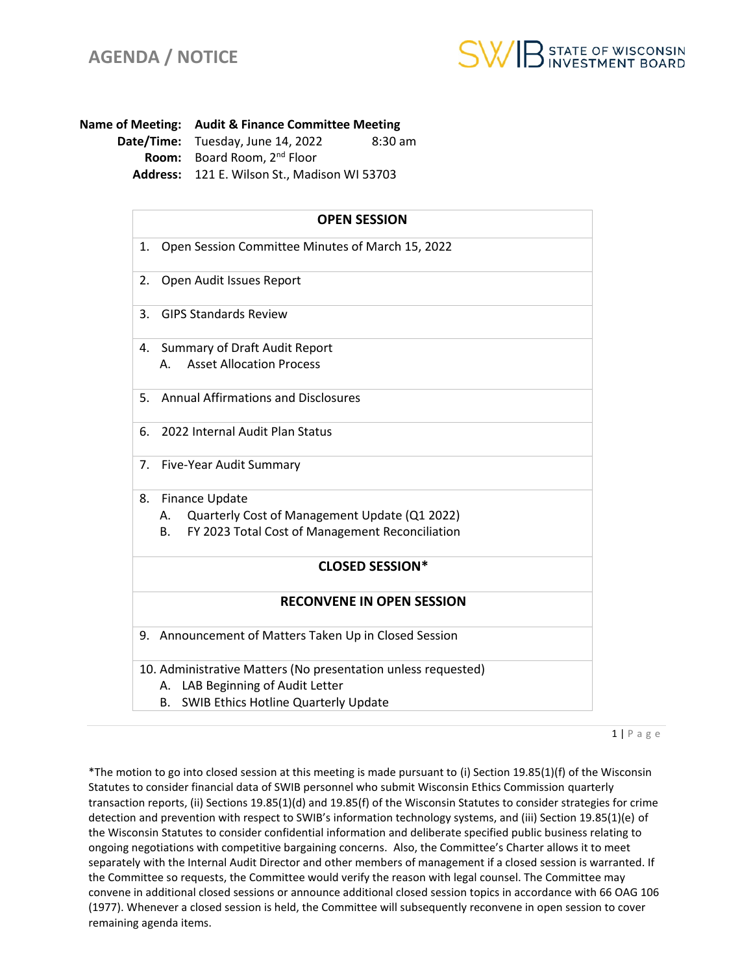

**Name of Meeting: Audit & Finance Committee Meeting Date/Time:** Tuesday, June 14, 2022 8:30 am **Room:** Board Room, 2nd Floor **Address:** 121 E. Wilson St., Madison WI 53703

| <b>OPEN SESSION</b>              |                                                                                                                                                           |
|----------------------------------|-----------------------------------------------------------------------------------------------------------------------------------------------------------|
| 1.                               | Open Session Committee Minutes of March 15, 2022                                                                                                          |
| 2.                               | Open Audit Issues Report                                                                                                                                  |
| 3.                               | <b>GIPS Standards Review</b>                                                                                                                              |
| 4.                               | <b>Summary of Draft Audit Report</b>                                                                                                                      |
|                                  | <b>Asset Allocation Process</b><br>А.                                                                                                                     |
| 5.                               | <b>Annual Affirmations and Disclosures</b>                                                                                                                |
| 6.                               | 2022 Internal Audit Plan Status                                                                                                                           |
| 7.                               | Five-Year Audit Summary                                                                                                                                   |
| 8.                               | Finance Update                                                                                                                                            |
|                                  | Quarterly Cost of Management Update (Q1 2022)<br>А.                                                                                                       |
|                                  | FY 2023 Total Cost of Management Reconciliation<br>В.                                                                                                     |
|                                  | <b>CLOSED SESSION*</b>                                                                                                                                    |
| <b>RECONVENE IN OPEN SESSION</b> |                                                                                                                                                           |
|                                  | 9. Announcement of Matters Taken Up in Closed Session                                                                                                     |
|                                  | 10. Administrative Matters (No presentation unless requested)<br>LAB Beginning of Audit Letter<br>А.<br><b>SWIB Ethics Hotline Quarterly Update</b><br>В. |

 $1 | P$  a g e

\*The motion to go into closed session at this meeting is made pursuant to (i) Section 19.85(1)(f) of the Wisconsin Statutes to consider financial data of SWIB personnel who submit Wisconsin Ethics Commission quarterly transaction reports, (ii) Sections 19.85(1)(d) and 19.85(f) of the Wisconsin Statutes to consider strategies for crime detection and prevention with respect to SWIB's information technology systems, and (iii) Section 19.85(1)(e) of the Wisconsin Statutes to consider confidential information and deliberate specified public business relating to ongoing negotiations with competitive bargaining concerns. Also, the Committee's Charter allows it to meet separately with the Internal Audit Director and other members of management if a closed session is warranted. If the Committee so requests, the Committee would verify the reason with legal counsel. The Committee may convene in additional closed sessions or announce additional closed session topics in accordance with 66 OAG 106 (1977). Whenever a closed session is held, the Committee will subsequently reconvene in open session to cover remaining agenda items.